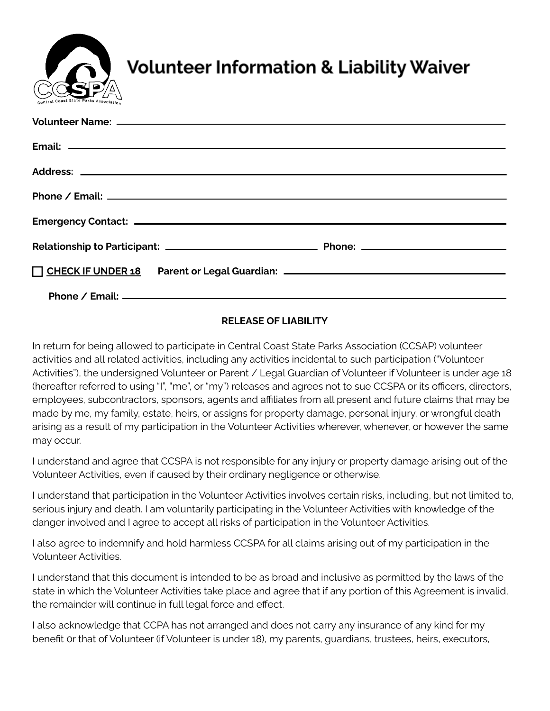

# **Volunteer Information & Liability Waiver**

| T CHECK IF UNDER 18 Parent or Legal Guardian: ___________________________________ |
|-----------------------------------------------------------------------------------|
|                                                                                   |

# **RELEASE OF LIABILITY**

In return for being allowed to participate in Central Coast State Parks Association (CCSAP) volunteer activities and all related activities, including any activities incidental to such participation ("Volunteer Activities"), the undersigned Volunteer or Parent / Legal Guardian of Volunteer if Volunteer is under age 18 (hereafter referred to using "I", "me", or "my") releases and agrees not to sue CCSPA or its officers, directors, employees, subcontractors, sponsors, agents and affiliates from all present and future claims that may be made by me, my family, estate, heirs, or assigns for property damage, personal injury, or wrongful death arising as a result of my participation in the Volunteer Activities wherever, whenever, or however the same may occur.

I understand and agree that CCSPA is not responsible for any injury or property damage arising out of the Volunteer Activities, even if caused by their ordinary negligence or otherwise.

I understand that participation in the Volunteer Activities involves certain risks, including, but not limited to, serious injury and death. I am voluntarily participating in the Volunteer Activities with knowledge of the danger involved and I agree to accept all risks of participation in the Volunteer Activities.

I also agree to indemnify and hold harmless CCSPA for all claims arising out of my participation in the Volunteer Activities.

I understand that this document is intended to be as broad and inclusive as permitted by the laws of the state in which the Volunteer Activities take place and agree that if any portion of this Agreement is invalid, the remainder will continue in full legal force and effect.

I also acknowledge that CCPA has not arranged and does not carry any insurance of any kind for my benefit 0r that of Volunteer (if Volunteer is under 18), my parents, guardians, trustees, heirs, executors,